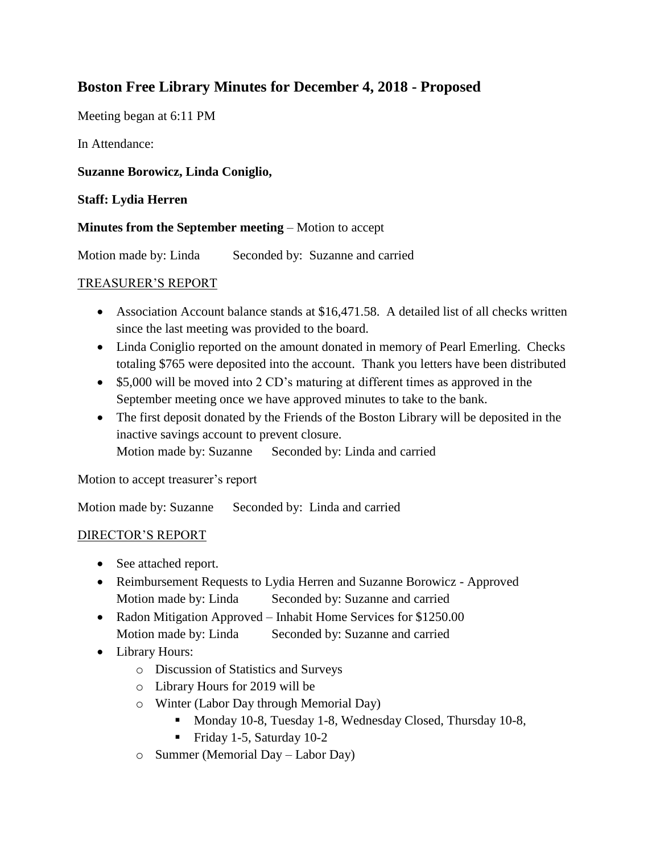# **Boston Free Library Minutes for December 4, 2018 - Proposed**

Meeting began at 6:11 PM

In Attendance:

## **Suzanne Borowicz, Linda Coniglio,**

### **Staff: Lydia Herren**

#### **Minutes from the September meeting** – Motion to accept

Motion made by: Linda Seconded by: Suzanne and carried

#### TREASURER'S REPORT

- Association Account balance stands at \$16,471.58. A detailed list of all checks written since the last meeting was provided to the board.
- Linda Coniglio reported on the amount donated in memory of Pearl Emerling. Checks totaling \$765 were deposited into the account. Thank you letters have been distributed
- \$5,000 will be moved into 2 CD's maturing at different times as approved in the September meeting once we have approved minutes to take to the bank.
- The first deposit donated by the Friends of the Boston Library will be deposited in the inactive savings account to prevent closure. Motion made by: Suzanne Seconded by: Linda and carried

Motion to accept treasurer's report

Motion made by: Suzanne Seconded by: Linda and carried

#### DIRECTOR'S REPORT

- See attached report.
- Reimbursement Requests to Lydia Herren and Suzanne Borowicz Approved Motion made by: Linda Seconded by: Suzanne and carried
- Radon Mitigation Approved Inhabit Home Services for \$1250.00 Motion made by: Linda Seconded by: Suzanne and carried
- Library Hours:
	- o Discussion of Statistics and Surveys
	- o Library Hours for 2019 will be
	- o Winter (Labor Day through Memorial Day)
		- Monday 10-8, Tuesday 1-8, Wednesday Closed, Thursday 10-8,
		- Friday 1-5, Saturday 10-2
	- o Summer (Memorial Day Labor Day)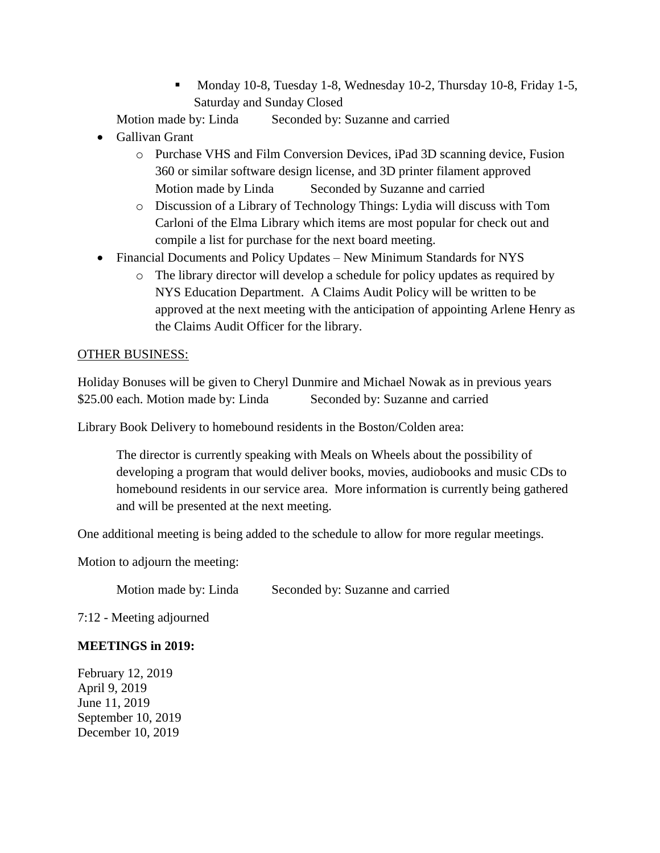Monday 10-8, Tuesday 1-8, Wednesday 10-2, Thursday 10-8, Friday 1-5, Saturday and Sunday Closed

Motion made by: Linda Seconded by: Suzanne and carried

- Gallivan Grant
	- o Purchase VHS and Film Conversion Devices, iPad 3D scanning device, Fusion 360 or similar software design license, and 3D printer filament approved Motion made by Linda Seconded by Suzanne and carried
	- o Discussion of a Library of Technology Things: Lydia will discuss with Tom Carloni of the Elma Library which items are most popular for check out and compile a list for purchase for the next board meeting.
- Financial Documents and Policy Updates New Minimum Standards for NYS
	- o The library director will develop a schedule for policy updates as required by NYS Education Department. A Claims Audit Policy will be written to be approved at the next meeting with the anticipation of appointing Arlene Henry as the Claims Audit Officer for the library.

#### OTHER BUSINESS:

Holiday Bonuses will be given to Cheryl Dunmire and Michael Nowak as in previous years \$25.00 each. Motion made by: Linda Seconded by: Suzanne and carried

Library Book Delivery to homebound residents in the Boston/Colden area:

The director is currently speaking with Meals on Wheels about the possibility of developing a program that would deliver books, movies, audiobooks and music CDs to homebound residents in our service area. More information is currently being gathered and will be presented at the next meeting.

One additional meeting is being added to the schedule to allow for more regular meetings.

Motion to adjourn the meeting:

Motion made by: Linda Seconded by: Suzanne and carried

7:12 - Meeting adjourned

#### **MEETINGS in 2019:**

February 12, 2019 April 9, 2019 June 11, 2019 September 10, 2019 December 10, 2019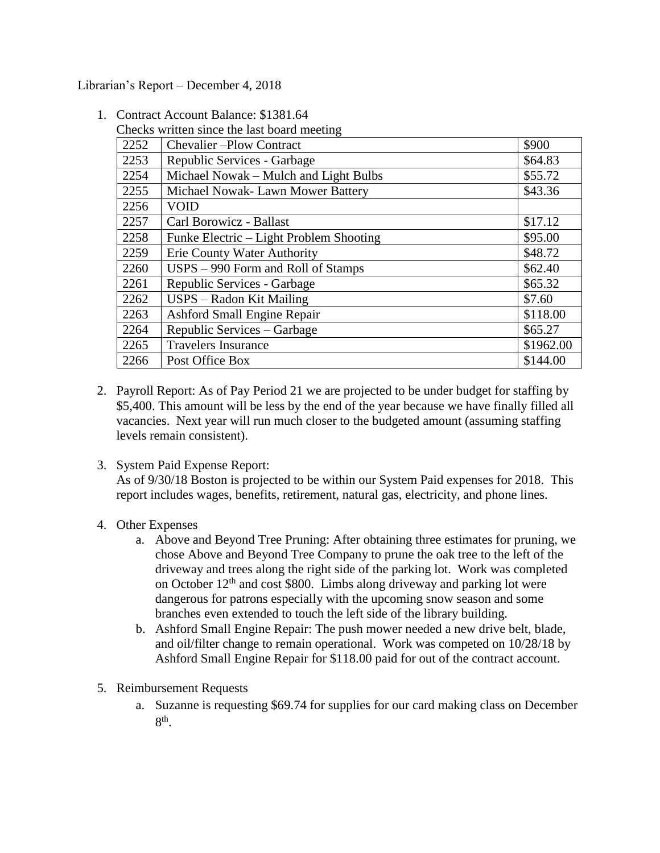Librarian's Report – December 4, 2018

| Checks written since the fast board meeting |                                         |           |
|---------------------------------------------|-----------------------------------------|-----------|
| 2252                                        | Chevalier-Plow Contract                 | \$900     |
| 2253                                        | Republic Services - Garbage             | \$64.83   |
| 2254                                        | Michael Nowak – Mulch and Light Bulbs   | \$55.72   |
| 2255                                        | Michael Nowak- Lawn Mower Battery       | \$43.36   |
| 2256                                        | <b>VOID</b>                             |           |
| 2257                                        | Carl Borowicz - Ballast                 | \$17.12   |
| 2258                                        | Funke Electric – Light Problem Shooting | \$95.00   |
| 2259                                        | Erie County Water Authority             | \$48.72   |
| 2260                                        | USPS – 990 Form and Roll of Stamps      | \$62.40   |
| 2261                                        | Republic Services - Garbage             | \$65.32   |
| 2262                                        | USPS – Radon Kit Mailing                | \$7.60    |
| 2263                                        | <b>Ashford Small Engine Repair</b>      | \$118.00  |
| 2264                                        | Republic Services – Garbage             | \$65.27   |
| 2265                                        | <b>Travelers Insurance</b>              | \$1962.00 |
| 2266                                        | Post Office Box                         | \$144.00  |

1. Contract Account Balance: \$1381.64 Checks written since the last board meeting

- 2. Payroll Report: As of Pay Period 21 we are projected to be under budget for staffing by \$5,400. This amount will be less by the end of the year because we have finally filled all vacancies. Next year will run much closer to the budgeted amount (assuming staffing levels remain consistent).
- 3. System Paid Expense Report:

As of 9/30/18 Boston is projected to be within our System Paid expenses for 2018. This report includes wages, benefits, retirement, natural gas, electricity, and phone lines.

- 4. Other Expenses
	- a. Above and Beyond Tree Pruning: After obtaining three estimates for pruning, we chose Above and Beyond Tree Company to prune the oak tree to the left of the driveway and trees along the right side of the parking lot. Work was completed on October  $12<sup>th</sup>$  and cost \$800. Limbs along driveway and parking lot were dangerous for patrons especially with the upcoming snow season and some branches even extended to touch the left side of the library building.
	- b. Ashford Small Engine Repair: The push mower needed a new drive belt, blade, and oil/filter change to remain operational. Work was competed on 10/28/18 by Ashford Small Engine Repair for \$118.00 paid for out of the contract account.
- 5. Reimbursement Requests
	- a. Suzanne is requesting \$69.74 for supplies for our card making class on December  $8<sup>th</sup>$ .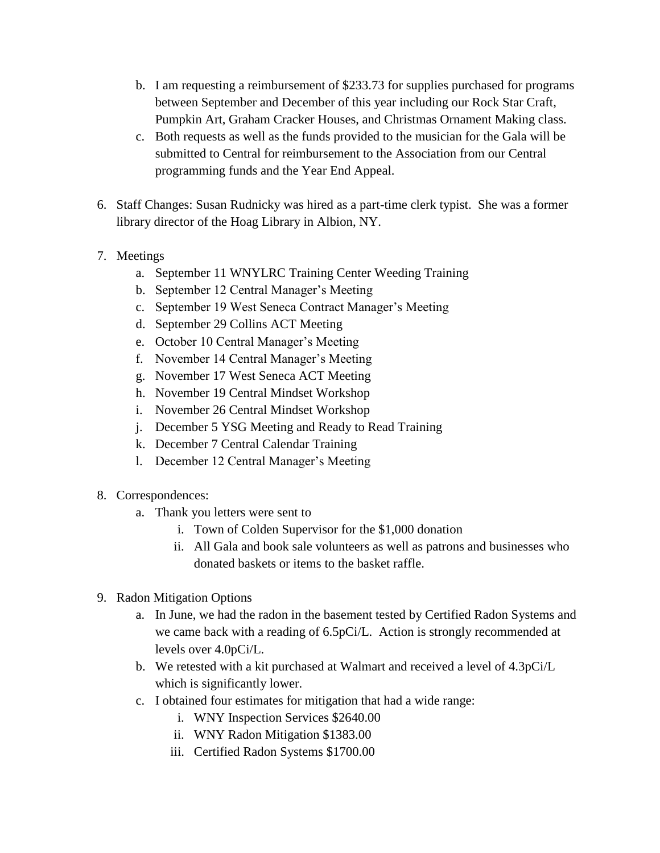- b. I am requesting a reimbursement of \$233.73 for supplies purchased for programs between September and December of this year including our Rock Star Craft, Pumpkin Art, Graham Cracker Houses, and Christmas Ornament Making class.
- c. Both requests as well as the funds provided to the musician for the Gala will be submitted to Central for reimbursement to the Association from our Central programming funds and the Year End Appeal.
- 6. Staff Changes: Susan Rudnicky was hired as a part-time clerk typist. She was a former library director of the Hoag Library in Albion, NY.
- 7. Meetings
	- a. September 11 WNYLRC Training Center Weeding Training
	- b. September 12 Central Manager's Meeting
	- c. September 19 West Seneca Contract Manager's Meeting
	- d. September 29 Collins ACT Meeting
	- e. October 10 Central Manager's Meeting
	- f. November 14 Central Manager's Meeting
	- g. November 17 West Seneca ACT Meeting
	- h. November 19 Central Mindset Workshop
	- i. November 26 Central Mindset Workshop
	- j. December 5 YSG Meeting and Ready to Read Training
	- k. December 7 Central Calendar Training
	- l. December 12 Central Manager's Meeting
- 8. Correspondences:
	- a. Thank you letters were sent to
		- i. Town of Colden Supervisor for the \$1,000 donation
		- ii. All Gala and book sale volunteers as well as patrons and businesses who donated baskets or items to the basket raffle.
- 9. Radon Mitigation Options
	- a. In June, we had the radon in the basement tested by Certified Radon Systems and we came back with a reading of 6.5pCi/L. Action is strongly recommended at levels over 4.0pCi/L.
	- b. We retested with a kit purchased at Walmart and received a level of 4.3pCi/L which is significantly lower.
	- c. I obtained four estimates for mitigation that had a wide range:
		- i. WNY Inspection Services \$2640.00
		- ii. WNY Radon Mitigation \$1383.00
		- iii. Certified Radon Systems \$1700.00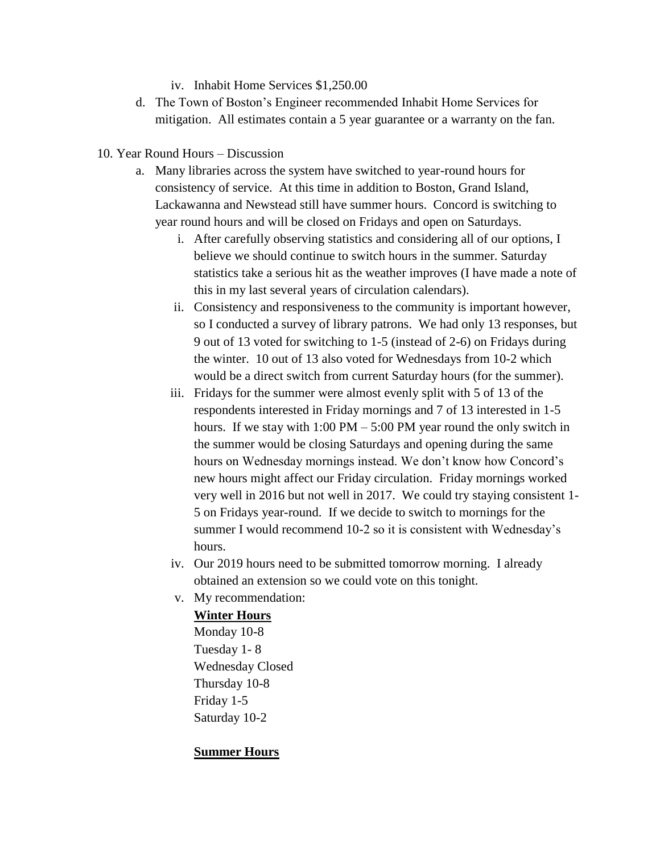iv. Inhabit Home Services \$1,250.00

- d. The Town of Boston's Engineer recommended Inhabit Home Services for mitigation. All estimates contain a 5 year guarantee or a warranty on the fan.
- 10. Year Round Hours Discussion
	- a. Many libraries across the system have switched to year-round hours for consistency of service. At this time in addition to Boston, Grand Island, Lackawanna and Newstead still have summer hours. Concord is switching to year round hours and will be closed on Fridays and open on Saturdays.
		- i. After carefully observing statistics and considering all of our options, I believe we should continue to switch hours in the summer. Saturday statistics take a serious hit as the weather improves (I have made a note of this in my last several years of circulation calendars).
		- ii. Consistency and responsiveness to the community is important however, so I conducted a survey of library patrons. We had only 13 responses, but 9 out of 13 voted for switching to 1-5 (instead of 2-6) on Fridays during the winter. 10 out of 13 also voted for Wednesdays from 10-2 which would be a direct switch from current Saturday hours (for the summer).
		- iii. Fridays for the summer were almost evenly split with 5 of 13 of the respondents interested in Friday mornings and 7 of 13 interested in 1-5 hours. If we stay with  $1:00 \text{ PM} - 5:00 \text{ PM}$  year round the only switch in the summer would be closing Saturdays and opening during the same hours on Wednesday mornings instead. We don't know how Concord's new hours might affect our Friday circulation. Friday mornings worked very well in 2016 but not well in 2017. We could try staying consistent 1- 5 on Fridays year-round. If we decide to switch to mornings for the summer I would recommend 10-2 so it is consistent with Wednesday's hours.
		- iv. Our 2019 hours need to be submitted tomorrow morning. I already obtained an extension so we could vote on this tonight.
		- v. My recommendation:

#### **Winter Hours**

Monday 10-8 Tuesday 1- 8 Wednesday Closed Thursday 10-8 Friday 1-5 Saturday 10-2

#### **Summer Hours**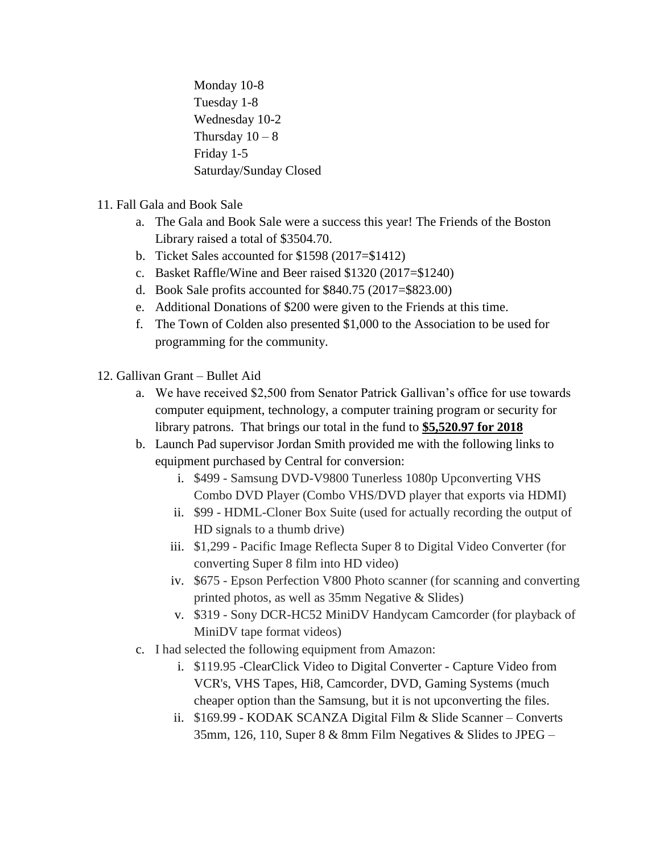Monday 10-8 Tuesday 1-8 Wednesday 10-2 Thursday  $10 - 8$ Friday 1-5 Saturday/Sunday Closed

- 11. Fall Gala and Book Sale
	- a. The Gala and Book Sale were a success this year! The Friends of the Boston Library raised a total of \$3504.70.
	- b. Ticket Sales accounted for \$1598 (2017=\$1412)
	- c. Basket Raffle/Wine and Beer raised \$1320 (2017=\$1240)
	- d. Book Sale profits accounted for \$840.75 (2017=\$823.00)
	- e. Additional Donations of \$200 were given to the Friends at this time.
	- f. The Town of Colden also presented \$1,000 to the Association to be used for programming for the community.
- 12. Gallivan Grant Bullet Aid
	- a. We have received \$2,500 from Senator Patrick Gallivan's office for use towards computer equipment, technology, a computer training program or security for library patrons. That brings our total in the fund to **\$5,520.97 for 2018**
	- b. Launch Pad supervisor Jordan Smith provided me with the following links to equipment purchased by Central for conversion:
		- i. \$499 Samsung DVD-V9800 Tunerless 1080p Upconverting VHS Combo DVD Player (Combo VHS/DVD player that exports via HDMI)
		- ii. \$99 HDML-Cloner Box Suite (used for actually recording the output of HD signals to a thumb drive)
		- iii. \$1,299 Pacific Image Reflecta Super 8 to Digital Video Converter (for converting Super 8 film into HD video)
		- iv. \$675 Epson Perfection V800 Photo scanner (for scanning and converting printed photos, as well as 35mm Negative & Slides)
		- v. \$319 Sony DCR-HC52 MiniDV Handycam Camcorder (for playback of MiniDV tape format videos)
	- c. I had selected the following equipment from Amazon:
		- i. \$119.95 -ClearClick Video to Digital Converter Capture Video from VCR's, VHS Tapes, Hi8, Camcorder, DVD, Gaming Systems (much cheaper option than the Samsung, but it is not upconverting the files.
		- ii. \$169.99 KODAK SCANZA Digital Film & Slide Scanner Converts 35mm, 126, 110, Super 8 & 8mm Film Negatives & Slides to JPEG –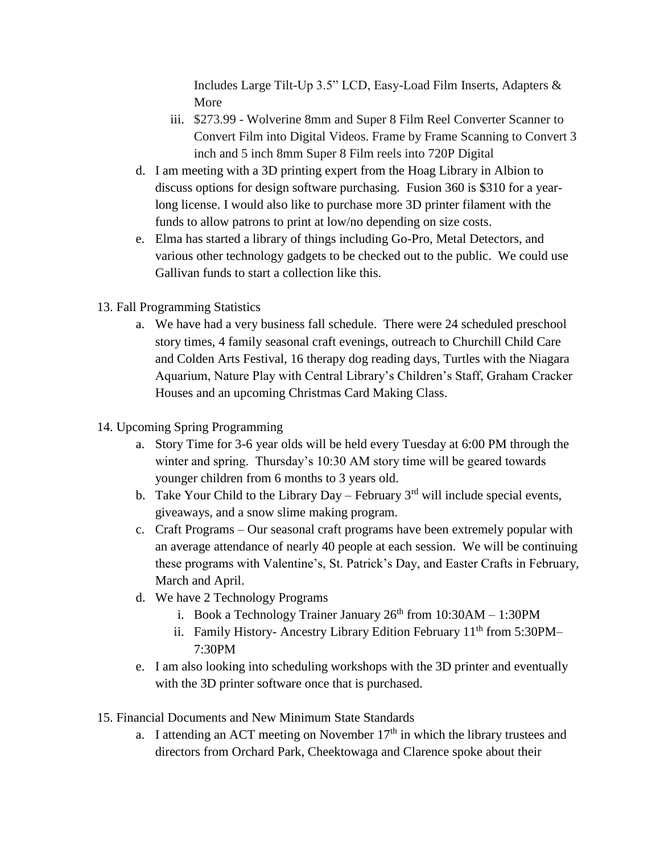Includes Large Tilt-Up 3.5" LCD, Easy-Load Film Inserts, Adapters & More

- iii. \$273.99 Wolverine 8mm and Super 8 Film Reel Converter Scanner to Convert Film into Digital Videos. Frame by Frame Scanning to Convert 3 inch and 5 inch 8mm Super 8 Film reels into 720P Digital
- d. I am meeting with a 3D printing expert from the Hoag Library in Albion to discuss options for design software purchasing. Fusion 360 is \$310 for a yearlong license. I would also like to purchase more 3D printer filament with the funds to allow patrons to print at low/no depending on size costs.
- e. Elma has started a library of things including Go-Pro, Metal Detectors, and various other technology gadgets to be checked out to the public. We could use Gallivan funds to start a collection like this.
- 13. Fall Programming Statistics
	- a. We have had a very business fall schedule. There were 24 scheduled preschool story times, 4 family seasonal craft evenings, outreach to Churchill Child Care and Colden Arts Festival, 16 therapy dog reading days, Turtles with the Niagara Aquarium, Nature Play with Central Library's Children's Staff, Graham Cracker Houses and an upcoming Christmas Card Making Class.
- 14. Upcoming Spring Programming
	- a. Story Time for 3-6 year olds will be held every Tuesday at 6:00 PM through the winter and spring. Thursday's 10:30 AM story time will be geared towards younger children from 6 months to 3 years old.
	- b. Take Your Child to the Library Day February  $3<sup>rd</sup>$  will include special events, giveaways, and a snow slime making program.
	- c. Craft Programs Our seasonal craft programs have been extremely popular with an average attendance of nearly 40 people at each session. We will be continuing these programs with Valentine's, St. Patrick's Day, and Easter Crafts in February, March and April.
	- d. We have 2 Technology Programs
		- i. Book a Technology Trainer January  $26<sup>th</sup>$  from  $10:30AM 1:30PM$
		- ii. Family History- Ancestry Library Edition February  $11<sup>th</sup>$  from 5:30PM-7:30PM
	- e. I am also looking into scheduling workshops with the 3D printer and eventually with the 3D printer software once that is purchased.
- 15. Financial Documents and New Minimum State Standards
	- a. I attending an ACT meeting on November  $17<sup>th</sup>$  in which the library trustees and directors from Orchard Park, Cheektowaga and Clarence spoke about their